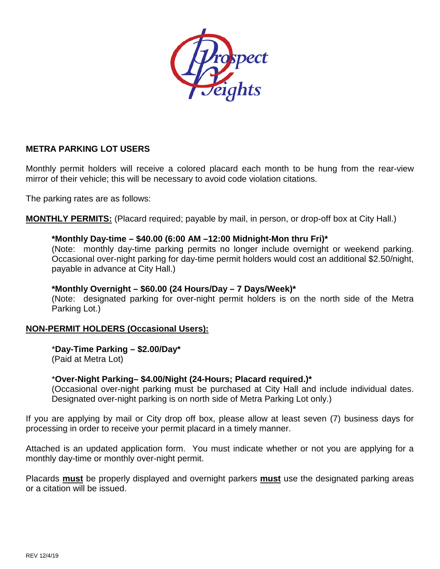

## **METRA PARKING LOT USERS**

Monthly permit holders will receive a colored placard each month to be hung from the rear-view mirror of their vehicle; this will be necessary to avoid code violation citations.

The parking rates are as follows:

**MONTHLY PERMITS:** (Placard required; payable by mail, in person, or drop-off box at City Hall.)

#### **\*Monthly Day-time – \$40.00 (6:00 AM –12:00 Midnight-Mon thru Fri)\***

(Note: monthly day-time parking permits no longer include overnight or weekend parking. Occasional over-night parking for day-time permit holders would cost an additional \$2.50/night, payable in advance at City Hall.)

#### **\*Monthly Overnight – \$60.00 (24 Hours/Day – 7 Days/Week)\***

(Note: designated parking for over-night permit holders is on the north side of the Metra Parking Lot.)

## **NON-PERMIT HOLDERS (Occasional Users):**

\***Day-Time Parking – \$2.00/Day\*** (Paid at Metra Lot)

## \***Over-Night Parking– \$4.00/Night (24-Hours; Placard required.)\***

(Occasional over-night parking must be purchased at City Hall and include individual dates. Designated over-night parking is on north side of Metra Parking Lot only.)

If you are applying by mail or City drop off box, please allow at least seven (7) business days for processing in order to receive your permit placard in a timely manner.

Attached is an updated application form. You must indicate whether or not you are applying for a monthly day-time or monthly over-night permit.

Placards **must** be properly displayed and overnight parkers **must** use the designated parking areas or a citation will be issued.